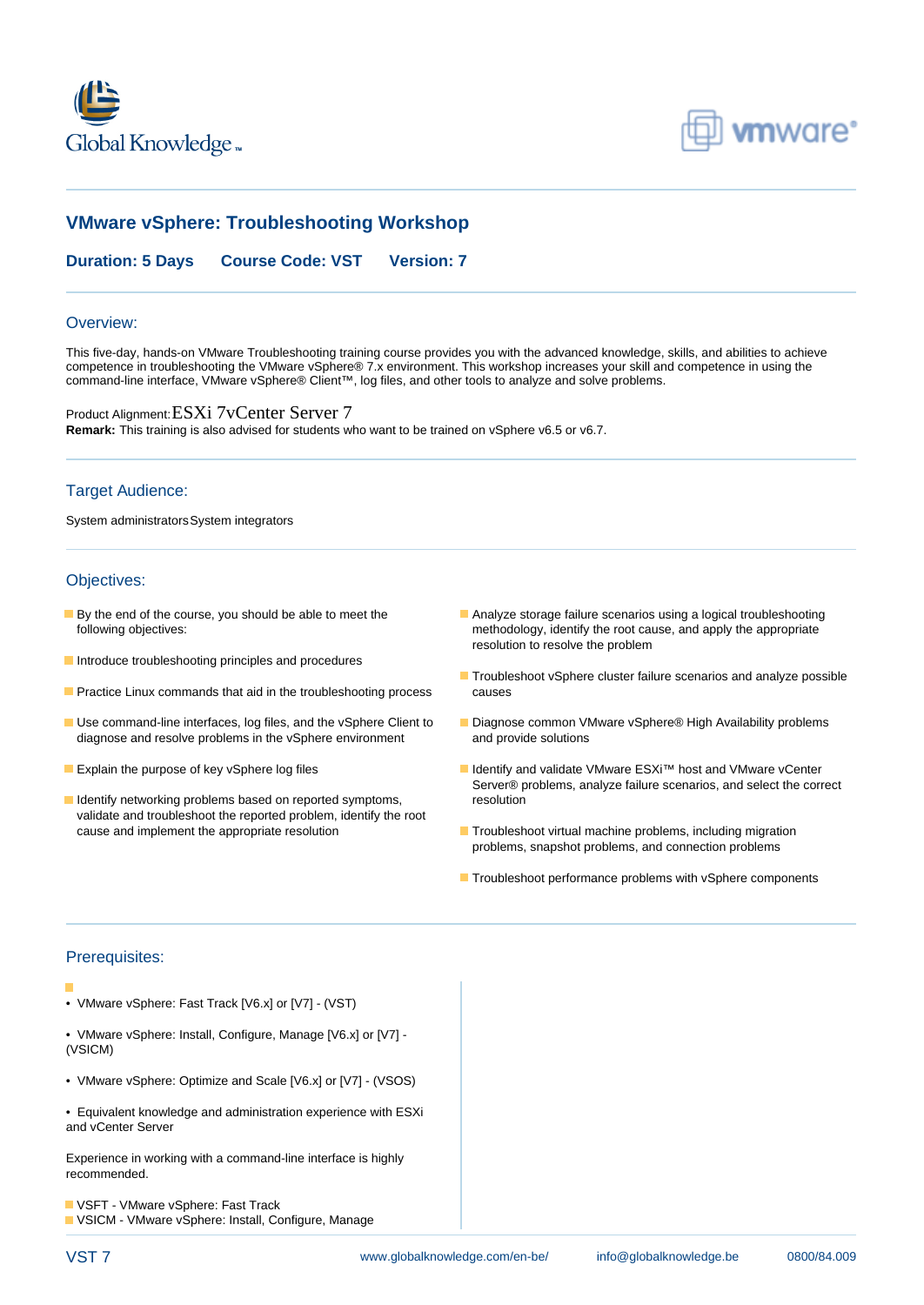



# **VMware vSphere: Troubleshooting Workshop**

**Duration: 5 Days Course Code: VST Version: 7**

#### Overview:

This five-day, hands-on VMware Troubleshooting training course provides you with the advanced knowledge, skills, and abilities to achieve competence in troubleshooting the VMware vSphere® 7.x environment. This workshop increases your skill and competence in using the command-line interface, VMware vSphere® Client™, log files, and other tools to analyze and solve problems.

Product Alignment:ESXi 7vCenter Server 7 **Remark:** This training is also advised for students who want to be trained on vSphere v6.5 or v6.7.

### Target Audience:

System administrators System integrators

### Objectives:

- 
- **Introduce troubleshooting principles and procedures**
- **Practice Linux commands that aid in the troubleshooting process** causes
- Use command-line interfaces, log files, and the vSphere Client to Diagnose common VMware vSphere® High Availability problems diagnose and resolve problems in the vSphere environment and provide solutions
- 
- I Identify networking problems based on reported symptoms, resolution validate and troubleshoot the reported problem, identify the root cause and implement the appropriate resolution Troubleshoot virtual machine problems, including migration
- **By the end of the course, you should be able to meet the Analyze storage failure scenarios using a logical troubleshooting** following objectives: methodology, identify the root cause, and apply the appropriate resolution to resolve the problem
	- **Troubleshoot vSphere cluster failure scenarios and analyze possible**
	-
- Explain the purpose of key vSphere log files Internal Community and validate VMware ESXi™ host and VMware vCenter Server® problems, analyze failure scenarios, and select the correct
	- problems, snapshot problems, and connection problems
	- **Troubleshoot performance problems with vSphere components**

#### Prerequisites:

- VMware vSphere: Fast Track [V6.x] or [V7] (VST)
- VMware vSphere: Install, Configure, Manage [V6.x] or [V7] (VSICM)
- VMware vSphere: Optimize and Scale [V6.x] or [V7] (VSOS)
- Equivalent knowledge and administration experience with ESXi and vCenter Server

Experience in working with a command-line interface is highly recommended.

**U** VSFT - VMware vSphere: Fast Track VSICM - VMware vSphere: Install, Configure, Manage